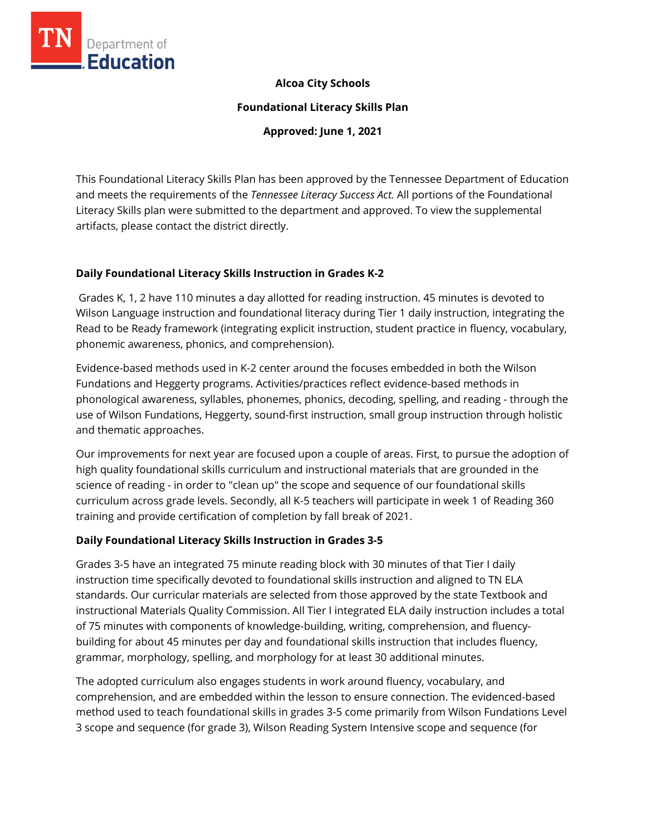

#### **Alcoa City Schools**

**Foundational Literacy Skills Plan**

**Approved: June 1, 2021**

This Foundational Literacy Skills Plan has been approved by the Tennessee Department of Education and meets the requirements of the *Tennessee Literacy Success Act.* All portions of the Foundational Literacy Skills plan were submitted to the department and approved. To view the supplemental artifacts, please contact the district directly.

#### **Daily Foundational Literacy Skills Instruction in Grades K-2**

Grades K, 1, 2 have 110 minutes a day allotted for reading instruction. 45 minutes is devoted to Wilson Language instruction and foundational literacy during Tier 1 daily instruction, integrating the Read to be Ready framework (integrating explicit instruction, student practice in fluency, vocabulary, phonemic awareness, phonics, and comprehension).

Evidence-based methods used in K-2 center around the focuses embedded in both the Wilson Fundations and Heggerty programs. Activities/practices reflect evidence-based methods in phonological awareness, syllables, phonemes, phonics, decoding, spelling, and reading - through the use of Wilson Fundations, Heggerty, sound-first instruction, small group instruction through holistic and thematic approaches.

Our improvements for next year are focused upon a couple of areas. First, to pursue the adoption of high quality foundational skills curriculum and instructional materials that are grounded in the science of reading - in order to "clean up" the scope and sequence of our foundational skills curriculum across grade levels. Secondly, all K-5 teachers will participate in week 1 of Reading 360 training and provide certification of completion by fall break of 2021.

#### **Daily Foundational Literacy Skills Instruction in Grades 3-5**

Grades 3-5 have an integrated 75 minute reading block with 30 minutes of that Tier I daily instruction time specifically devoted to foundational skills instruction and aligned to TN ELA standards. Our curricular materials are selected from those approved by the state Textbook and instructional Materials Quality Commission. All Tier I integrated ELA daily instruction includes a total of 75 minutes with components of knowledge-building, writing, comprehension, and fluencybuilding for about 45 minutes per day and foundational skills instruction that includes fluency, grammar, morphology, spelling, and morphology for at least 30 additional minutes.

The adopted curriculum also engages students in work around fluency, vocabulary, and comprehension, and are embedded within the lesson to ensure connection. The evidenced-based method used to teach foundational skills in grades 3-5 come primarily from Wilson Fundations Level 3 scope and sequence (for grade 3), Wilson Reading System Intensive scope and sequence (for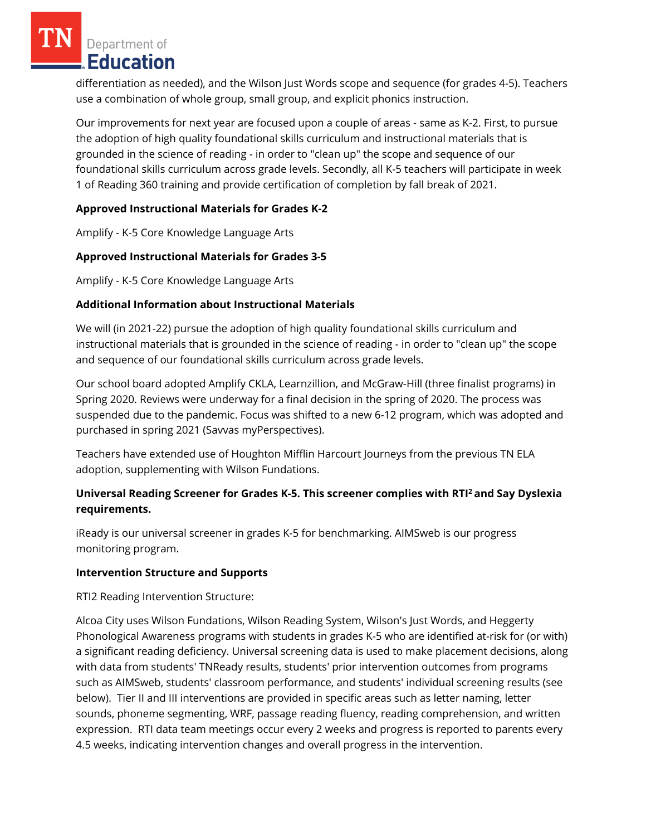Department of **Education** 

differentiation as needed), and the Wilson Just Words scope and sequence (for grades 4-5). Teachers use a combination of whole group, small group, and explicit phonics instruction.

Our improvements for next year are focused upon a couple of areas - same as K-2. First, to pursue the adoption of high quality foundational skills curriculum and instructional materials that is grounded in the science of reading - in order to "clean up" the scope and sequence of our foundational skills curriculum across grade levels. Secondly, all K-5 teachers will participate in week 1 of Reading 360 training and provide certification of completion by fall break of 2021.

## **Approved Instructional Materials for Grades K-2**

Amplify - K-5 Core Knowledge Language Arts

## **Approved Instructional Materials for Grades 3-5**

Amplify - K-5 Core Knowledge Language Arts

## **Additional Information about Instructional Materials**

We will (in 2021-22) pursue the adoption of high quality foundational skills curriculum and instructional materials that is grounded in the science of reading - in order to "clean up" the scope and sequence of our foundational skills curriculum across grade levels.

Our school board adopted Amplify CKLA, Learnzillion, and McGraw-Hill (three finalist programs) in Spring 2020. Reviews were underway for a final decision in the spring of 2020. The process was suspended due to the pandemic. Focus was shifted to a new 6-12 program, which was adopted and purchased in spring 2021 (Savvas myPerspectives).

Teachers have extended use of Houghton Mifflin Harcourt Journeys from the previous TN ELA adoption, supplementing with Wilson Fundations.

## **Universal Reading Screener for Grades K-5. This screener complies with RTI<sup>2</sup>and Say Dyslexia requirements.**

iReady is our universal screener in grades K-5 for benchmarking. AIMSweb is our progress monitoring program.

#### **Intervention Structure and Supports**

RTI2 Reading Intervention Structure:

Alcoa City uses Wilson Fundations, Wilson Reading System, Wilson's Just Words, and Heggerty Phonological Awareness programs with students in grades K-5 who are identified at-risk for (or with) a significant reading deficiency. Universal screening data is used to make placement decisions, along with data from students' TNReady results, students' prior intervention outcomes from programs such as AIMSweb, students' classroom performance, and students' individual screening results (see below). Tier II and III interventions are provided in specific areas such as letter naming, letter sounds, phoneme segmenting, WRF, passage reading fluency, reading comprehension, and written expression. RTI data team meetings occur every 2 weeks and progress is reported to parents every 4.5 weeks, indicating intervention changes and overall progress in the intervention.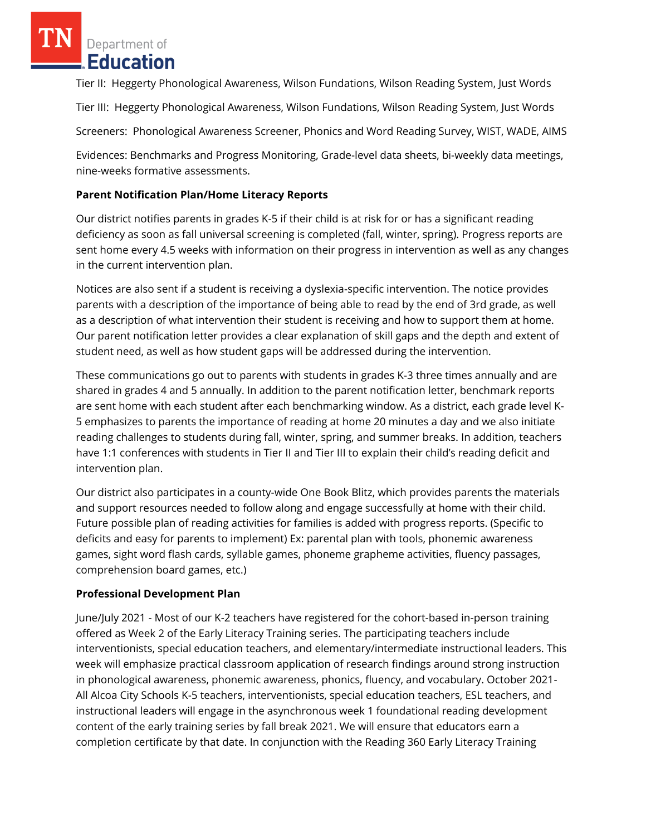Department of Education

Tier II: Heggerty Phonological Awareness, Wilson Fundations, Wilson Reading System, Just Words

Tier III: Heggerty Phonological Awareness, Wilson Fundations, Wilson Reading System, Just Words

Screeners: Phonological Awareness Screener, Phonics and Word Reading Survey, WIST, WADE, AIMS

Evidences: Benchmarks and Progress Monitoring, Grade-level data sheets, bi-weekly data meetings, nine-weeks formative assessments.

# **Parent Notification Plan/Home Literacy Reports**

Our district notifies parents in grades K-5 if their child is at risk for or has a significant reading deficiency as soon as fall universal screening is completed (fall, winter, spring). Progress reports are sent home every 4.5 weeks with information on their progress in intervention as well as any changes in the current intervention plan.

Notices are also sent if a student is receiving a dyslexia-specific intervention. The notice provides parents with a description of the importance of being able to read by the end of 3rd grade, as well as a description of what intervention their student is receiving and how to support them at home. Our parent notification letter provides a clear explanation of skill gaps and the depth and extent of student need, as well as how student gaps will be addressed during the intervention.

These communications go out to parents with students in grades K-3 three times annually and are shared in grades 4 and 5 annually. In addition to the parent notification letter, benchmark reports are sent home with each student after each benchmarking window. As a district, each grade level K-5 emphasizes to parents the importance of reading at home 20 minutes a day and we also initiate reading challenges to students during fall, winter, spring, and summer breaks. In addition, teachers have 1:1 conferences with students in Tier II and Tier III to explain their child's reading deficit and intervention plan.

Our district also participates in a county-wide One Book Blitz, which provides parents the materials and support resources needed to follow along and engage successfully at home with their child. Future possible plan of reading activities for families is added with progress reports. (Specific to deficits and easy for parents to implement) Ex: parental plan with tools, phonemic awareness games, sight word flash cards, syllable games, phoneme grapheme activities, fluency passages, comprehension board games, etc.)

## **Professional Development Plan**

June/July 2021 - Most of our K-2 teachers have registered for the cohort-based in-person training offered as Week 2 of the Early Literacy Training series. The participating teachers include interventionists, special education teachers, and elementary/intermediate instructional leaders. This week will emphasize practical classroom application of research findings around strong instruction in phonological awareness, phonemic awareness, phonics, fluency, and vocabulary. October 2021- All Alcoa City Schools K-5 teachers, interventionists, special education teachers, ESL teachers, and instructional leaders will engage in the asynchronous week 1 foundational reading development content of the early training series by fall break 2021. We will ensure that educators earn a completion certificate by that date. In conjunction with the Reading 360 Early Literacy Training